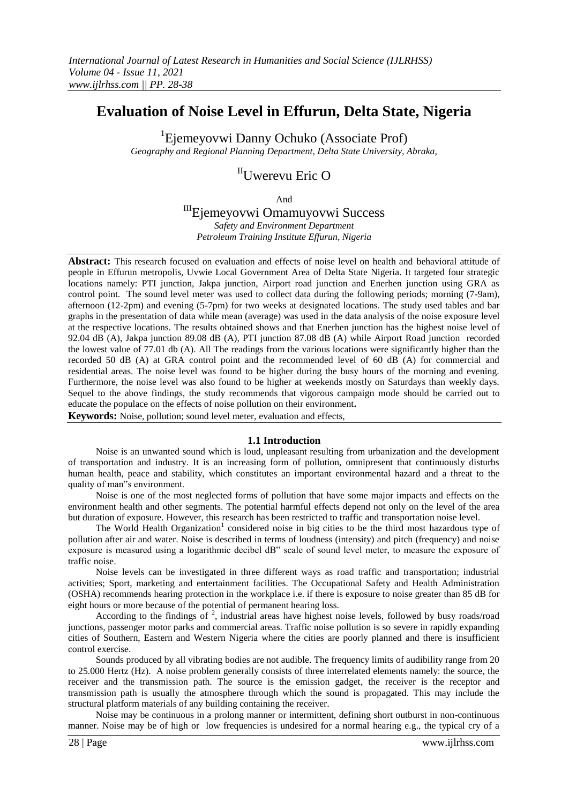# **Evaluation of Noise Level in Effurun, Delta State, Nigeria**

1 Ejemeyovwi Danny Ochuko (Associate Prof) *Geography and Regional Planning Department, Delta State University, Abraka,*

# IIUwerevu Eric O

And

# IIIEjemeyovwi Omamuyovwi Success

*Safety and Environment Department Petroleum Training Institute Effurun, Nigeria* 

**Abstract:** This research focused on evaluation and effects of noise level on health and behavioral attitude of people in Effurun metropolis, Uvwie Local Government Area of Delta State Nigeria. It targeted four strategic locations namely: PTI junction, Jakpa junction, Airport road junction and Enerhen junction using GRA as control point. The sound level meter was used to collect data during the following periods; morning (7-9am), afternoon (12-2pm) and evening (5-7pm) for two weeks at designated locations. The study used tables and bar graphs in the presentation of data while mean (average) was used in the data analysis of the noise exposure level at the respective locations. The results obtained shows and that Enerhen junction has the highest noise level of 92.04 dB (A), Jakpa junction 89.08 dB (A), PTI junction 87.08 dB (A) while Airport Road junction recorded the lowest value of 77.01 db (A). All The readings from the various locations were significantly higher than the recorded 50 dB (A) at GRA control point and the recommended level of 60 dB (A) for commercial and residential areas. The noise level was found to be higher during the busy hours of the morning and evening. Furthermore, the noise level was also found to be higher at weekends mostly on Saturdays than weekly days. Sequel to the above findings, the study recommends that vigorous campaign mode should be carried out to educate the populace on the effects of noise pollution on their environment**.** 

**Keywords:** Noise, pollution; sound level meter, evaluation and effects,

#### **1.1 Introduction**

Noise is an unwanted sound which is loud, unpleasant resulting from urbanization and the development of transportation and industry. It is an increasing form of pollution, omnipresent that continuously disturbs human health, peace and stability, which constitutes an important environmental hazard and a threat to the quality of man"s environment.

Noise is one of the most neglected forms of pollution that have some major impacts and effects on the environment health and other segments. The potential harmful effects depend not only on the level of the area but duration of exposure. However, this research has been restricted to traffic and transportation noise level.

The World Health Organization<sup>1</sup> considered noise in big cities to be the third most hazardous type of pollution after air and water. Noise is described in terms of loudness (intensity) and pitch (frequency) and noise exposure is measured using a logarithmic decibel dB" scale of sound level meter, to measure the exposure of traffic noise.

Noise levels can be investigated in three different ways as road traffic and transportation; industrial activities; Sport, marketing and entertainment facilities. The Occupational Safety and Health Administration (OSHA) recommends hearing protection in the workplace i.e. if there is exposure to noise greater than 85 dB for eight hours or more because of the potential of permanent hearing loss.

According to the findings of  $2$ , industrial areas have highest noise levels, followed by busy roads/road junctions, passenger motor parks and commercial areas. Traffic noise pollution is so severe in rapidly expanding cities of Southern, Eastern and Western Nigeria where the cities are poorly planned and there is insufficient control exercise.

Sounds produced by all vibrating bodies are not audible. The frequency limits of audibility range from 20 to 25.000 Hertz (Hz). A noise problem generally consists of three interrelated elements namely: the source, the receiver and the transmission path. The source is the emission gadget, the receiver is the receptor and transmission path is usually the atmosphere through which the sound is propagated. This may include the structural platform materials of any building containing the receiver.

Noise may be continuous in a prolong manner or intermittent, defining short outburst in non-continuous manner. Noise may be of high or low frequencies is undesired for a normal hearing e.g., the typical cry of a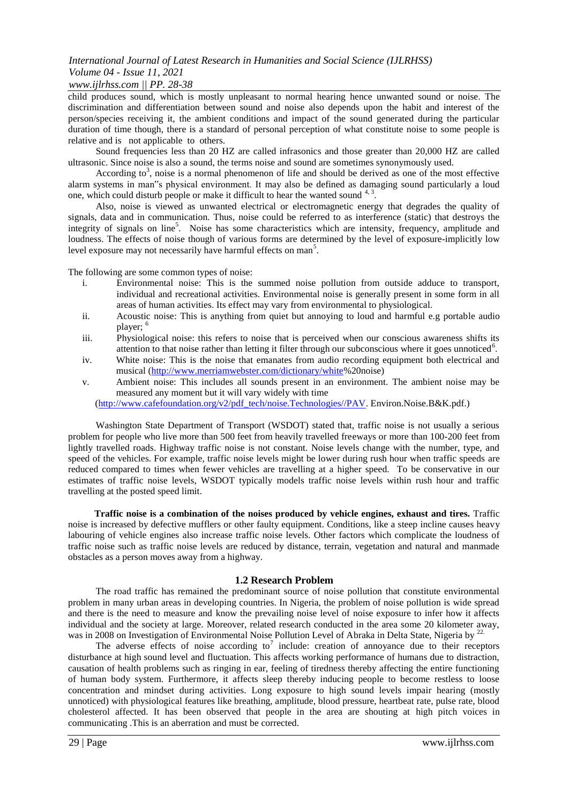## *www.ijlrhss.com || PP. 28-38*

child produces sound, which is mostly unpleasant to normal hearing hence unwanted sound or noise. The discrimination and differentiation between sound and noise also depends upon the habit and interest of the person/species receiving it, the ambient conditions and impact of the sound generated during the particular duration of time though, there is a standard of personal perception of what constitute noise to some people is relative and is not applicable to others.

Sound frequencies less than 20 HZ are called infrasonics and those greater than 20,000 HZ are called ultrasonic. Since noise is also a sound, the terms noise and sound are sometimes synonymously used.

According to<sup>3</sup>, noise is a normal phenomenon of life and should be derived as one of the most effective alarm systems in man"s physical environment. It may also be defined as damaging sound particularly a loud one, which could disturb people or make it difficult to hear the wanted sound  $4,3$ .

Also, noise is viewed as unwanted electrical or electromagnetic energy that degrades the quality of signals, data and in communication. Thus, noise could be referred to as interference (static) that destroys the integrity of signals on line<sup>5</sup>. Noise has some characteristics which are intensity, frequency, amplitude and loudness. The effects of noise though of various forms are determined by the level of exposure-implicitly low level exposure may not necessarily have harmful effects on man<sup>5</sup>.

The following are some common types of noise:

- i. Environmental noise: This is the summed noise pollution from outside adduce to transport, individual and recreational activities. Environmental noise is generally present in some form in all areas of human activities. Its effect may vary from environmental to physiological.
- ii. Acoustic noise: This is anything from quiet but annoying to loud and harmful e.g portable audio player; <sup>6</sup>
- iii. Physiological noise: this refers to noise that is perceived when our conscious awareness shifts its attention to that noise rather than letting it filter through our subconscious where it goes unnoticed<sup>6</sup>.
- iv. White noise: This is the noise that emanates from audio recording equipment both electrical and musical [\(http://www.merriamwebster.com/dictionary/white%](http://www.merriamwebster.com/dictionary/white)20noise)
- v. Ambient noise: This includes all sounds present in an environment. The ambient noise may be measured any moment but it will vary widely with time

[\(http://www.cafefoundation.org/v2/pdf\\_tech/noise.Technologies//PAV.](http://www.cafefoundation.org/v2/pdf_tech/noise.Technologies/PAV) Environ.Noise.B&K.pdf.)

Washington State Department of Transport (WSDOT) stated that, traffic noise is not usually a serious problem for people who live more than 500 feet from heavily travelled freeways or more than 100-200 feet from lightly travelled roads. Highway traffic noise is not constant. Noise levels change with the number, type, and speed of the vehicles. For example, traffic noise levels might be lower during rush hour when traffic speeds are reduced compared to times when fewer vehicles are travelling at a higher speed. To be conservative in our estimates of traffic noise levels, WSDOT typically models traffic noise levels within rush hour and traffic travelling at the posted speed limit.

**Traffic noise is a combination of the noises produced by vehicle engines, exhaust and tires.** Traffic noise is increased by defective mufflers or other faulty equipment. Conditions, like a steep incline causes heavy labouring of vehicle engines also increase traffic noise levels. Other factors which complicate the loudness of traffic noise such as traffic noise levels are reduced by distance, terrain, vegetation and natural and manmade obstacles as a person moves away from a highway.

#### **1.2 Research Problem**

The road traffic has remained the predominant source of noise pollution that constitute environmental problem in many urban areas in developing countries. In Nigeria, the problem of noise pollution is wide spread and there is the need to measure and know the prevailing noise level of noise exposure to infer how it affects individual and the society at large. Moreover, related research conducted in the area some 20 kilometer away, was in 2008 on Investigation of Environmental Noise Pollution Level of Abraka in Delta State, Nigeria by <sup>22</sup>.

The adverse effects of noise according to<sup>7</sup> include: creation of annoyance due to their receptors disturbance at high sound level and fluctuation. This affects working performance of humans due to distraction, causation of health problems such as ringing in ear, feeling of tiredness thereby affecting the entire functioning of human body system. Furthermore, it affects sleep thereby inducing people to become restless to loose concentration and mindset during activities. Long exposure to high sound levels impair hearing (mostly unnoticed) with physiological features like breathing, amplitude, blood pressure, heartbeat rate, pulse rate, blood cholesterol affected. It has been observed that people in the area are shouting at high pitch voices in communicating .This is an aberration and must be corrected.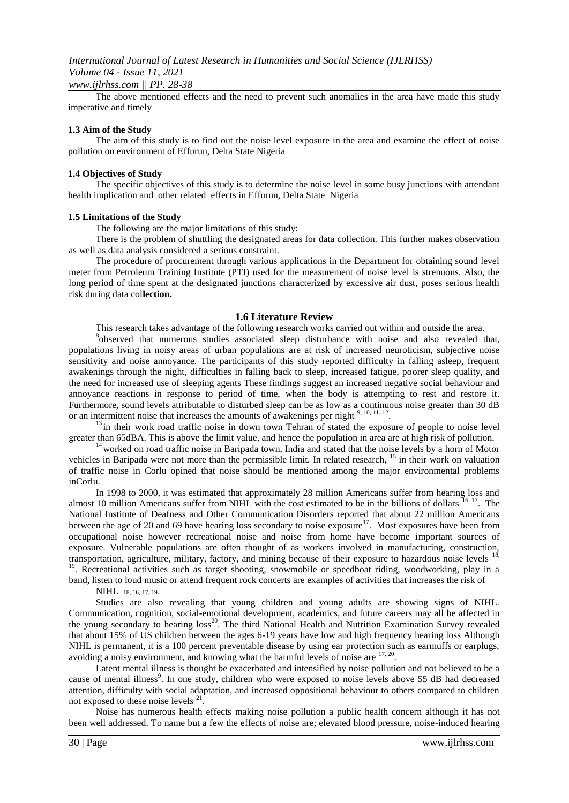#### *www.ijlrhss.com || PP. 28-38*

The above mentioned effects and the need to prevent such anomalies in the area have made this study imperative and timely

#### **1.3 Aim of the Study**

The aim of this study is to find out the noise level exposure in the area and examine the effect of noise pollution on environment of Effurun, Delta State Nigeria

#### **1.4 Objectives of Study**

The specific objectives of this study is to determine the noise level in some busy junctions with attendant health implication and other related effects in Effurun, Delta State Nigeria

#### **1.5 Limitations of the Study**

The following are the major limitations of this study:

There is the problem of shuttling the designated areas for data collection. This further makes observation as well as data analysis considered a serious constraint.

The procedure of procurement through various applications in the Department for obtaining sound level meter from Petroleum Training Institute (PTI) used for the measurement of noise level is strenuous. Also, the long period of time spent at the designated junctions characterized by excessive air dust, poses serious health risk during data col**lection.** 

#### **1.6 Literature Review**

This research takes advantage of the following research works carried out within and outside the area.

<sup>8</sup>observed that numerous studies associated sleep disturbance with noise and also revealed that, populations living in noisy areas of urban populations are at risk of increased neuroticism, subjective noise sensitivity and noise annoyance. The participants of this study reported difficulty in falling asleep, frequent awakenings through the night, difficulties in falling back to sleep, increased fatigue, poorer sleep quality, and the need for increased use of sleeping agents These findings suggest an increased negative social behaviour and annoyance reactions in response to period of time, when the body is attempting to rest and restore it. Furthermore, sound levels attributable to disturbed sleep can be as low as a continuous noise greater than 30 dB or an intermittent noise that increases the amounts of awakenings per night  $9, 10, 11, 12$ .

 $<sup>13</sup>$  in their work road traffic noise in down town Tehran of stated the exposure of people to noise level</sup> greater than 65dBA. This is above the limit value, and hence the population in area are at high risk of pollution.

<sup>14</sup> worked on road traffic noise in Baripada town, India and stated that the noise levels by a horn of Motor vehicles in Baripada were not more than the permissible limit. In related research, <sup>15</sup> in their work on valuation of traffic noise in Corlu opined that noise should be mentioned among the major environmental problems inCorlu.

In 1998 to 2000, it was estimated that approximately 28 million Americans suffer from hearing loss and almost 10 million Americans suffer from NIHL with the cost estimated to be in the billions of dollars  $16, 17$ . The National Institute of Deafness and Other Communication Disorders reported that about 22 million Americans between the age of 20 and 69 have hearing loss secondary to noise exposure<sup>17</sup>. Most exposures have been from occupational noise however recreational noise and noise from home have become important sources of exposure. Vulnerable populations are often thought of as workers involved in manufacturing, construction, transportation, agriculture, military, factory, and mining because of their exposure to hazardous noise levels  $18$ , <sup>19</sup>. Recreational activities such as target shooting, snowmobile or speedboat riding, woodworking, play in a

band, listen to loud music or attend frequent rock concerts are examples of activities that increases the risk of NIHL 18, 16, 17, 19.

Studies are also revealing that young children and young adults are showing signs of NIHL. Communication, cognition, social-emotional development, academics, and future careers may all be affected in the young secondary to hearing loss<sup>20</sup>. The third National Health and Nutrition Examination Survey revealed that about 15% of US children between the ages 6-19 years have low and high frequency hearing loss Although NIHL is permanent, it is a 100 percent preventable disease by using ear protection such as earmuffs or earplugs, avoiding a noisy environment, and knowing what the harmful levels of noise are  $17,20$ .

Latent mental illness is thought be exacerbated and intensified by noise pollution and not believed to be a cause of mental illness<sup>9</sup>. In one study, children who were exposed to noise levels above 55 dB had decreased attention, difficulty with social adaptation, and increased oppositional behaviour to others compared to children not exposed to these noise levels <sup>21</sup> .

Noise has numerous health effects making noise pollution a public health concern although it has not been well addressed. To name but a few the effects of noise are; elevated blood pressure, noise-induced hearing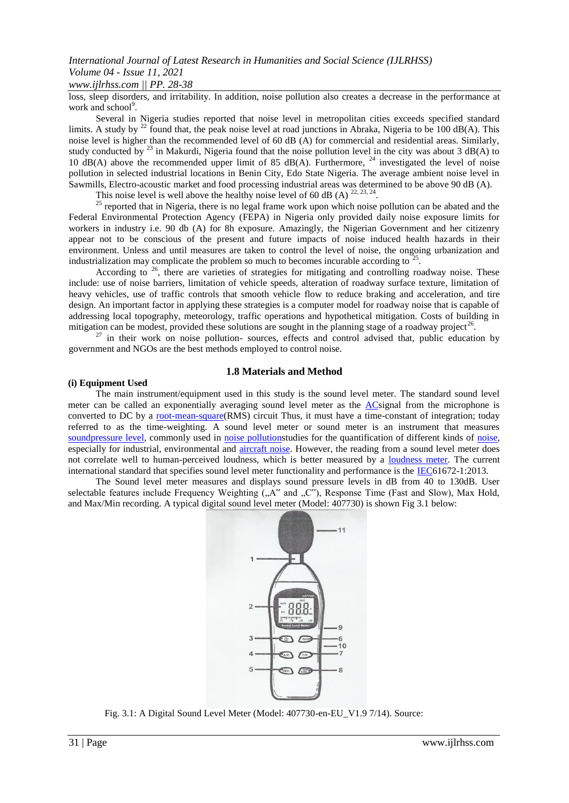## *www.ijlrhss.com || PP. 28-38*

loss, sleep disorders, and irritability. In addition, noise pollution also creates a decrease in the performance at work and school<sup>9</sup>.

Several in Nigeria studies reported that noise level in metropolitan cities exceeds specified standard limits. A study by <sup>22</sup> found that, the peak noise level at road junctions in Abraka, Nigeria to be 100 dB(A). This noise level is higher than the recommended level of 60 dB (A) for commercial and residential areas. Similarly, study conducted by  $^{23}$  in Makurdi, Nigeria found that the noise pollution level in the city was about 3 dB(A) to 10 dB(A) above the recommended upper limit of 85 dB(A). Furthermore,  $^{24}$  investigated the level of noise pollution in selected industrial locations in Benin City, Edo State Nigeria. The average ambient noise level in Sawmills, Electro-acoustic market and food processing industrial areas was determined to be above 90 dB (A).

This noise level is well above the healthy noise level of 60 dB (A)  $^{22, 23, 24}$ .

 $25$  reported that in Nigeria, there is no legal frame work upon which noise pollution can be abated and the Federal Environmental Protection Agency (FEPA) in Nigeria only provided daily noise exposure limits for workers in industry i.e. 90 db (A) for 8h exposure. Amazingly, the Nigerian Government and her citizenry appear not to be conscious of the present and future impacts of noise induced health hazards in their environment. Unless and until measures are taken to control the level of noise, the ongoing urbanization and industrialization may complicate the problem so much to becomes incurable according to  $25$ .

According to  $26$ , there are varieties of strategies for mitigating and controlling roadway noise. These include: use of noise barriers, limitation of vehicle speeds, alteration of roadway surface texture, limitation of heavy vehicles, use of traffic controls that smooth vehicle flow to reduce braking and acceleration, and tire design. An important factor in applying these strategies is a computer model for roadway noise that is capable of addressing local topography, meteorology, traffic operations and hypothetical mitigation. Costs of building in mitigation can be modest, provided these solutions are sought in the planning stage of a roadway project<sup>26</sup>.

 $27$  in their work on noise pollution-sources, effects and control advised that, public education by government and NGOs are the best methods employed to control noise.

### **1.8 Materials and Method**

#### **(i) Equipment Used**

The main instrument/equipment used in this study is the sound level meter. The standard sound level meter can be called an exponentially averaging sound level meter as the [ACs](http://en.wikipedia.org/wiki/Alternating_current)ignal from the microphone is converted to DC by a [root-m](http://en.wikipedia.org/wiki/Root-mean-square)ea[n-s](http://en.wikipedia.org/wiki/Root-mean-square)quar[e\(](http://en.wikipedia.org/wiki/Root-mean-square)RMS) circuit Thus, it must have a time-constant of integration; today referred to as the time-weighting. A sound level meter or sound meter is an instrument that measures [soundpressure level,](http://en.wikipedia.org/wiki/Sound_pressure#Sound_pressure_level) commonly used in [noise pollutions](http://en.wikipedia.org/wiki/Noise_pollution)tudies for the quantification of different kinds of [noise,](http://en.wikipedia.org/wiki/Noise) especially for industrial, environmental and [aircraft noise.](http://en.wikipedia.org/wiki/Aircraft_noise) However, the reading from a sound level meter does not correlate well to human-perceived loudness, which is better measured by a [loudness meter.](http://en.wikipedia.org/wiki/Loudness_monitoring) The current international standard that specifies sound level meter functionality and performance is the [IEC6](http://en.wikipedia.org/wiki/International_Electrotechnical_Commission)1672-1:2013.

The Sound level meter measures and displays sound pressure levels in dB from 40 to 130dB. User selectable features include Frequency Weighting ("A" and "C"), Response Time (Fast and Slow), Max Hold, and Max/Min recording. A typical digital sound level meter (Model: 407730) is shown Fig 3.1 below:



Fig. 3.1: A Digital Sound Level Meter (Model: 407730-en-EU\_V1.9 7/14). Source: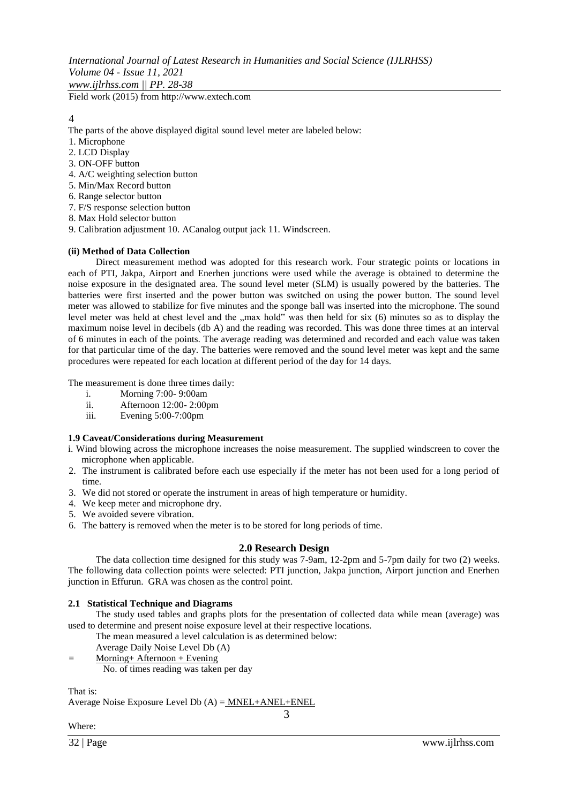*International Journal of Latest Research in Humanities and Social Science (IJLRHSS) Volume 04 - Issue 11, 2021 www.ijlrhss.com || PP. 28-38*

Field work (2015) from http://www.extech.com

## 4

- The parts of the above displayed digital sound level meter are labeled below:
- 1. Microphone
- 2. LCD Display
- 3. ON-OFF button
- 4. A/C weighting selection button
- 5. Min/Max Record button
- 6. Range selector button
- 7. F/S response selection button
- 8. Max Hold selector button
- 9. Calibration adjustment 10. ACanalog output jack 11. Windscreen.

### **(ii) Method of Data Collection**

Direct measurement method was adopted for this research work. Four strategic points or locations in each of PTI, Jakpa, Airport and Enerhen junctions were used while the average is obtained to determine the noise exposure in the designated area. The sound level meter (SLM) is usually powered by the batteries. The batteries were first inserted and the power button was switched on using the power button. The sound level meter was allowed to stabilize for five minutes and the sponge ball was inserted into the microphone. The sound level meter was held at chest level and the "max hold" was then held for six (6) minutes so as to display the maximum noise level in decibels (db A) and the reading was recorded. This was done three times at an interval of 6 minutes in each of the points. The average reading was determined and recorded and each value was taken for that particular time of the day. The batteries were removed and the sound level meter was kept and the same procedures were repeated for each location at different period of the day for 14 days.

The measurement is done three times daily:

- i. Morning 7:00- 9:00am
- ii. Afternoon 12:00- 2:00pm
- iii. Evening 5:00-7:00pm

### **1.9 Caveat/Considerations during Measurement**

- i. Wind blowing across the microphone increases the noise measurement. The supplied windscreen to cover the microphone when applicable.
- 2. The instrument is calibrated before each use especially if the meter has not been used for a long period of time.
- 3. We did not stored or operate the instrument in areas of high temperature or humidity.
- 4. We keep meter and microphone dry.
- 5. We avoided severe vibration.
- 6. The battery is removed when the meter is to be stored for long periods of time.

#### **2.0 Research Design**

The data collection time designed for this study was 7-9am, 12-2pm and 5-7pm daily for two (2) weeks. The following data collection points were selected: PTI junction, Jakpa junction, Airport junction and Enerhen junction in Effurun. GRA was chosen as the control point.

#### **2.1 Statistical Technique and Diagrams**

The study used tables and graphs plots for the presentation of collected data while mean (average) was used to determine and present noise exposure level at their respective locations.

The mean measured a level calculation is as determined below:

- Average Daily Noise Level Db (A)
- = Morning+ Afternoon + Evening
	- No. of times reading was taken per day

That is:

Average Noise Exposure Level Db  $(A) =$  MNEL+ANEL+ENEL

3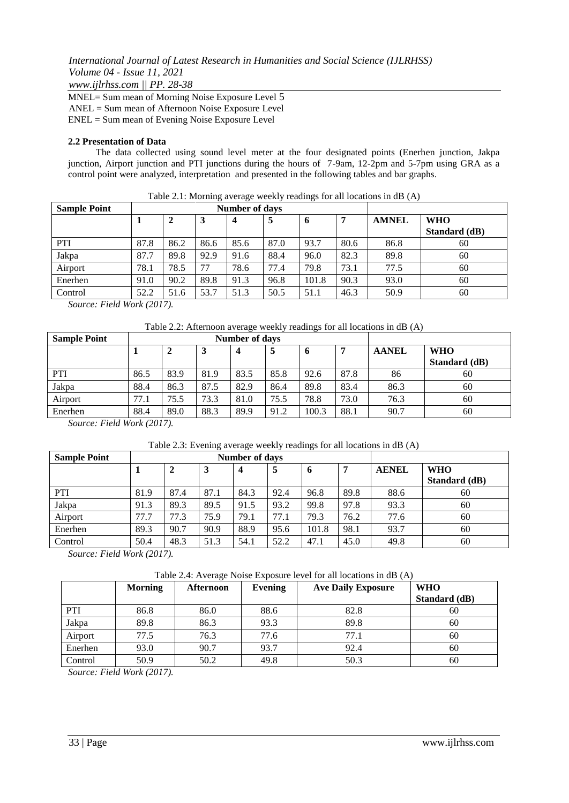*www.ijlrhss.com || PP. 28-38*

MNEL= Sum mean of Morning Noise Exposure Level 5 ANEL = Sum mean of Afternoon Noise Exposure Level ENEL = Sum mean of Evening Noise Exposure Level

## **2.2 Presentation of Data**

The data collected using sound level meter at the four designated points (Enerhen junction, Jakpa junction, Airport junction and PTI junctions during the hours of 7-9am, 12-2pm and 5-7pm using GRA as a control point were analyzed, interpretation and presented in the following tables and bar graphs.

| <b>Sample Point</b> |      |      |      | <b>Number of days</b> |      |       |      |              |               |
|---------------------|------|------|------|-----------------------|------|-------|------|--------------|---------------|
|                     |      |      | 3    | 4                     | 5    | -6    | 7    | <b>AMNEL</b> | <b>WHO</b>    |
|                     |      |      |      |                       |      |       |      |              | Standard (dB) |
| PTI                 | 87.8 | 86.2 | 86.6 | 85.6                  | 87.0 | 93.7  | 80.6 | 86.8         | 60            |
| Jakpa               | 87.7 | 89.8 | 92.9 | 91.6                  | 88.4 | 96.0  | 82.3 | 89.8         | 60            |
| Airport             | 78.1 | 78.5 | 77   | 78.6                  | 77.4 | 79.8  | 73.1 | 77.5         | 60            |
| Enerhen             | 91.0 | 90.2 | 89.8 | 91.3                  | 96.8 | 101.8 | 90.3 | 93.0         | 60            |
| Control             | 52.2 | 51.6 | 53.7 | 51.3                  | 50.5 | 51.1  | 46.3 | 50.9         | 60            |

Table 2.1: Morning average weekly readings for all locations in dB (A)

*Source: Field Work (2017).* 

| Table 2.2: Afternoon average weekly readings for all locations in dB (A) |  |  |  |  |
|--------------------------------------------------------------------------|--|--|--|--|
|                                                                          |  |  |  |  |

| <b>Sample Point</b> |      |      | <b>Number of days</b> |      |      |                     |      |              |                             |
|---------------------|------|------|-----------------------|------|------|---------------------|------|--------------|-----------------------------|
|                     |      | 2    |                       | 4    | 5    | $\ddot{\mathbf{0}}$ |      | <b>AANEL</b> | <b>WHO</b><br>Standard (dB) |
| <b>PTI</b>          | 86.5 | 83.9 | 81.9                  | 83.5 | 85.8 | 92.6                | 87.8 | 86           | 60                          |
| Jakpa               | 88.4 | 86.3 | 87.5                  | 82.9 | 86.4 | 89.8                | 83.4 | 86.3         | 60                          |
| Airport             | 77.1 | 75.5 | 73.3                  | 81.0 | 75.5 | 78.8                | 73.0 | 76.3         | 60                          |
| Enerhen             | 88.4 | 89.0 | 88.3                  | 89.9 | 91.2 | 100.3               | 88.1 | 90.7         | 60                          |

*Source: Field Work (2017).* 

| Table 2.3: Evening average weekly readings for all locations in dB (A) |  |  |
|------------------------------------------------------------------------|--|--|
|                                                                        |  |  |

| <b>Sample Point</b> |      |      | Number of days |      |      |       |      |              |                             |
|---------------------|------|------|----------------|------|------|-------|------|--------------|-----------------------------|
|                     |      |      | 3              |      | 5    | O     | 7    | <b>AENEL</b> | <b>WHO</b><br>Standard (dB) |
| PTI                 | 81.9 | 87.4 | 87.1           | 84.3 | 92.4 | 96.8  | 89.8 | 88.6         | 60                          |
| Jakpa               | 91.3 | 89.3 | 89.5           | 91.5 | 93.2 | 99.8  | 97.8 | 93.3         | 60                          |
| Airport             | 77.7 | 77.3 | 75.9           | 79.1 | 77.1 | 79.3  | 76.2 | 77.6         | 60                          |
| Enerhen             | 89.3 | 90.7 | 90.9           | 88.9 | 95.6 | 101.8 | 98.1 | 93.7         | 60                          |
| Control             | 50.4 | 48.3 | 51.3           | 54.1 | 52.2 | 47.1  | 45.0 | 49.8         | 60                          |

*Source: Field Work (2017).* 

Table 2.4: Average Noise Exposure level for all locations in dB (A)

|         | <b>Morning</b> | Afternoon | Evening | <b>Ave Daily Exposure</b> | <b>WHO</b>    |
|---------|----------------|-----------|---------|---------------------------|---------------|
|         |                |           |         |                           | Standard (dB) |
| PTI     | 86.8           | 86.0      | 88.6    | 82.8                      | 60            |
| Jakpa   | 89.8           | 86.3      | 93.3    | 89.8                      | 60            |
| Airport | 77.5           | 76.3      | 77.6    | 77.1                      | 60            |
| Enerhen | 93.0           | 90.7      | 93.7    | 92.4                      | 60            |
| Control | 50.9           | 50.2      | 49.8    | 50.3                      | 60            |

*Source: Field Work (2017).*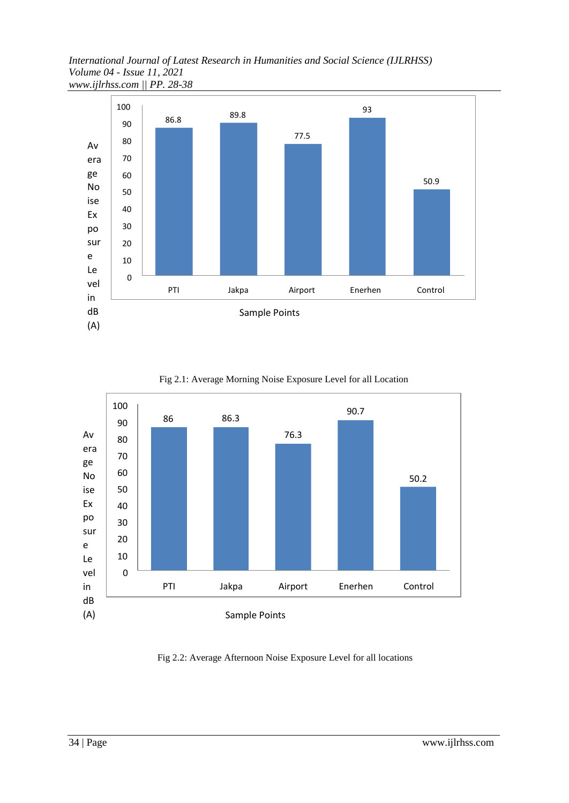*International Journal of Latest Research in Humanities and Social Science (IJLRHSS) Volume 04 - Issue 11, 2021 www.ijlrhss.com || PP. 28-38*



86 86.3 76.3 90.7 50.2 0 10 20 30 40 50 60 70 80 90 100 PTI Jakpa Airport Enerhen Control Av era ge No ise Ex po sur e Le vel in dB (A) Sample Points

Fig 2.1: Average Morning Noise Exposure Level for all Location

Fig 2.2: Average Afternoon Noise Exposure Level for all locations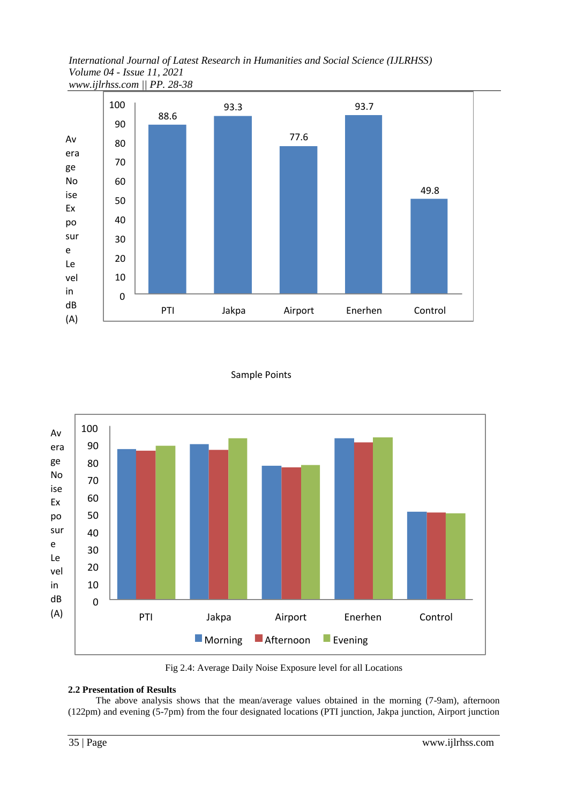*International Journal of Latest Research in Humanities and Social Science (IJLRHSS) Volume 04 - Issue 11, 2021 www.ijlrhss.com || PP. 28-38*



## Sample Points



Fig 2.4: Average Daily Noise Exposure level for all Locations

## **2.2 Presentation of Results**

The above analysis shows that the mean/average values obtained in the morning (7-9am), afternoon (122pm) and evening (5-7pm) from the four designated locations (PTI junction, Jakpa junction, Airport junction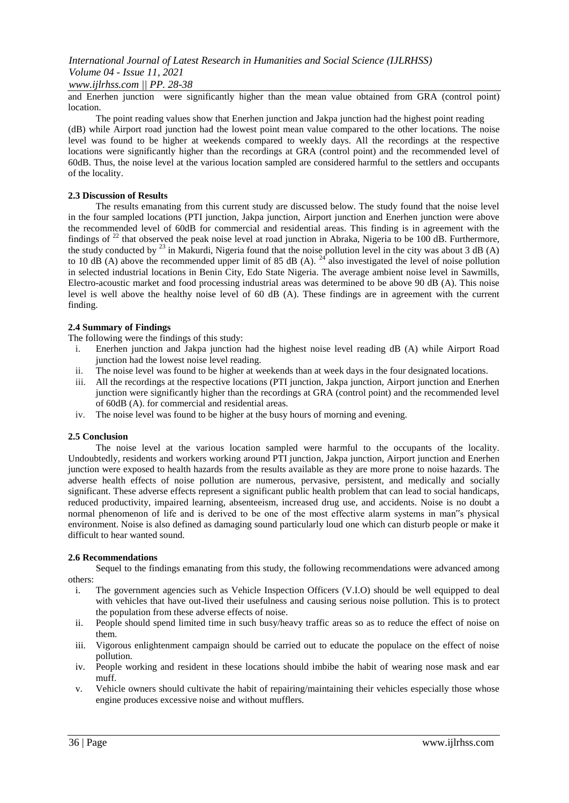### *www.ijlrhss.com || PP. 28-38*

and Enerhen junction were significantly higher than the mean value obtained from GRA (control point) location.

The point reading values show that Enerhen junction and Jakpa junction had the highest point reading (dB) while Airport road junction had the lowest point mean value compared to the other locations. The noise level was found to be higher at weekends compared to weekly days. All the recordings at the respective locations were significantly higher than the recordings at GRA (control point) and the recommended level of 60dB. Thus, the noise level at the various location sampled are considered harmful to the settlers and occupants of the locality.

#### **2.3 Discussion of Results**

The results emanating from this current study are discussed below. The study found that the noise level in the four sampled locations (PTI junction, Jakpa junction, Airport junction and Enerhen junction were above the recommended level of 60dB for commercial and residential areas. This finding is in agreement with the findings of  $^{22}$  that observed the peak noise level at road junction in Abraka, Nigeria to be 100 dB. Furthermore, the study conducted by  $^{23}$  in Makurdi, Nigeria found that the noise pollution level in the city was about 3 dB (A) to 10 dB (A) above the recommended upper limit of 85 dB (A). <sup>24</sup> also investigated the level of noise pollution in selected industrial locations in Benin City, Edo State Nigeria. The average ambient noise level in Sawmills, Electro-acoustic market and food processing industrial areas was determined to be above 90 dB (A). This noise level is well above the healthy noise level of 60 dB (A). These findings are in agreement with the current finding.

#### **2.4 Summary of Findings**

The following were the findings of this study:

- i. Enerhen junction and Jakpa junction had the highest noise level reading dB (A) while Airport Road junction had the lowest noise level reading.
- ii. The noise level was found to be higher at weekends than at week days in the four designated locations.
- iii. All the recordings at the respective locations (PTI junction, Jakpa junction, Airport junction and Enerhen junction were significantly higher than the recordings at GRA (control point) and the recommended level of 60dB (A). for commercial and residential areas.
- iv. The noise level was found to be higher at the busy hours of morning and evening.

#### **2.5 Conclusion**

The noise level at the various location sampled were harmful to the occupants of the locality. Undoubtedly, residents and workers working around PTI junction, Jakpa junction, Airport junction and Enerhen junction were exposed to health hazards from the results available as they are more prone to noise hazards. The adverse health effects of noise pollution are numerous, pervasive, persistent, and medically and socially significant. These adverse effects represent a significant public health problem that can lead to social handicaps, reduced productivity, impaired learning, absenteeism, increased drug use, and accidents. Noise is no doubt a normal phenomenon of life and is derived to be one of the most effective alarm systems in man"s physical environment. Noise is also defined as damaging sound particularly loud one which can disturb people or make it difficult to hear wanted sound.

#### **2.6 Recommendations**

Sequel to the findings emanating from this study, the following recommendations were advanced among others:

- i. The government agencies such as Vehicle Inspection Officers (V.I.O) should be well equipped to deal with vehicles that have out-lived their usefulness and causing serious noise pollution. This is to protect the population from these adverse effects of noise.
- ii. People should spend limited time in such busy/heavy traffic areas so as to reduce the effect of noise on them.
- iii. Vigorous enlightenment campaign should be carried out to educate the populace on the effect of noise pollution.
- iv. People working and resident in these locations should imbibe the habit of wearing nose mask and ear muff.
- v. Vehicle owners should cultivate the habit of repairing/maintaining their vehicles especially those whose engine produces excessive noise and without mufflers.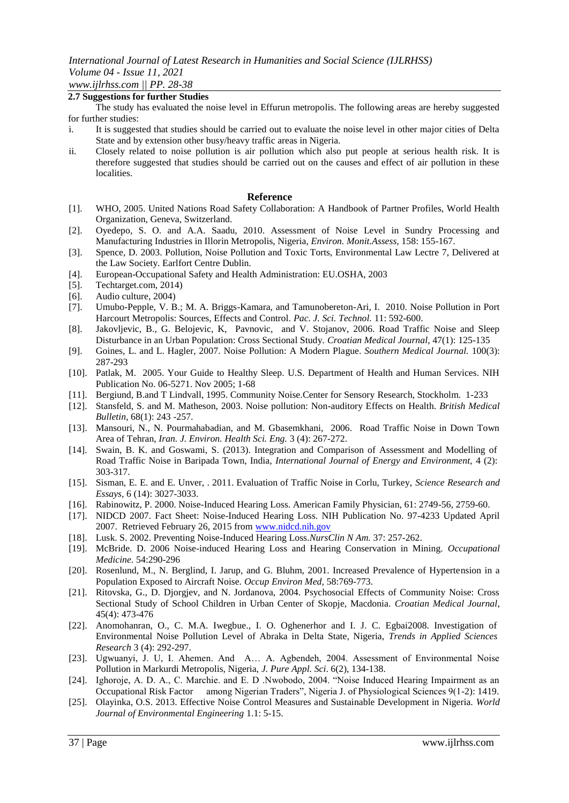## **2.7 Suggestions for further Studies**

The study has evaluated the noise level in Effurun metropolis. The following areas are hereby suggested for further studies:

- i. It is suggested that studies should be carried out to evaluate the noise level in other major cities of Delta State and by extension other busy/heavy traffic areas in Nigeria.
- ii. Closely related to noise pollution is air pollution which also put people at serious health risk. It is therefore suggested that studies should be carried out on the causes and effect of air pollution in these localities.

#### **Reference**

- [1]. WHO, 2005. United Nations Road Safety Collaboration: A Handbook of Partner Profiles, World Health Organization, Geneva, Switzerland.
- [2]. Oyedepo, S. O. and A.A. Saadu, 2010. Assessment of Noise Level in Sundry Processing and Manufacturing Industries in Illorin Metropolis, Nigeria, *Environ. Monit.Assess,* 158: 155-167.
- [3]. Spence, D. 2003. Pollution, Noise Pollution and Toxic Torts, Environmental Law Lectre 7, Delivered at the Law Society. Earlfort Centre Dublin.
- [4]. European-Occupational Safety and Health Administration: EU.OSHA, 2003
- [5]. Techtarget.com, 2014)
- [6]. Audio culture, 2004)
- [7]. Umubo-Pepple, V. B.; M. A. Briggs-Kamara, and Tamunobereton-Ari, I. 2010. Noise Pollution in Port Harcourt Metropolis: Sources, Effects and Control. *Pac. J. Sci. Technol.* 11: 592-600.
- [8]. Jakovljevic, B., G. Belojevic, K, Pavnovic, and V. Stojanov, 2006. Road Traffic Noise and Sleep Disturbance in an Urban Population: Cross Sectional Study. *Croatian Medical Journal,* 47(1): 125-135
- [9]. Goines, L. and L. Hagler, 2007. Noise Pollution: A Modern Plague. *Southern Medical Journal.* 100(3): 287-293
- [10]. Patlak, M. 2005. Your Guide to Healthy Sleep. U.S. Department of Health and Human Services. NIH Publication No. 06-5271. Nov 2005; 1-68
- [11]. Bergiund, B.and T Lindvall, 1995. Community Noise.Center for Sensory Research, Stockholm. 1-233
- [12]. Stansfeld, S. and M. Matheson, 2003. Noise pollution: Non-auditory Effects on Health. *British Medical Bulletin*, 68(1): 243 -257.
- [13]. Mansouri, N., N. Pourmahabadian, and M. Gbasemkhani, 2006. Road Traffic Noise in Down Town Area of Tehran, *Iran. J. Environ. Health Sci. Eng.* 3 (4): 267-272.
- [14]. Swain, B. K. and Goswami, S. (2013). Integration and Comparison of Assessment and Modelling of Road Traffic Noise in Baripada Town, India, *International Journal of Energy and Environment,* 4 (2): 303-317.
- [15]. Sisman, E. E. and E. Unver, . 2011. Evaluation of Traffic Noise in Corlu, Turkey, *Science Research and Essays,* 6 (14): 3027-3033.
- [16]. Rabinowitz, P. 2000. Noise-Induced Hearing Loss. American Family Physician, 61: 2749-56, 2759-60.
- [17]. NIDCD 2007. Fact Sheet: Noise-Induced Hearing Loss. NIH Publication No. 97-4233 Updated April 2007. Retrieved February 26, 2015 from [www.nidcd.nih.gov](http://www.nidcd.nih.gov/)
- [18]. Lusk. S. 2002. Preventing Noise-Induced Hearing Loss.*NursClin N Am.* 37: 257-262.
- [19]. McBride. D. 2006 Noise-induced Hearing Loss and Hearing Conservation in Mining. *Occupational Medicine.* 54:290-296
- [20]. Rosenlund, M., N. Berglind, I. Jarup, and G. Bluhm, 2001. Increased Prevalence of Hypertension in a Population Exposed to Aircraft Noise. *Occup Environ Med,* 58:769-773.
- [21]. Ritovska, G., D. Djorgjev, and N. Jordanova, 2004. Psychosocial Effects of Community Noise: Cross Sectional Study of School Children in Urban Center of Skopje, Macdonia. *Croatian Medical Journal*, 45(4): 473-476
- [22]. Anomohanran, O., C. M.A. Iwegbue., I. O. Oghenerhor and I. J. C. Egbai2008. Investigation of Environmental Noise Pollution Level of Abraka in Delta State, Nigeria, *Trends in Applied Sciences Research* 3 (4): 292-297.
- [23]. Ugwuanyi, J. U, I. Ahemen. And A… A. Agbendeh, 2004. Assessment of Environmental Noise Pollution in Markurdi Metropolis, Nigeria, *J. Pure Appl. Sci*. 6(2), 134-138.
- [24]. Ighoroje, A. D. A., C. Marchie. and E. D .Nwobodo, 2004. "Noise Induced Hearing Impairment as an Occupational Risk Factor among Nigerian Traders", Nigeria J. of Physiological Sciences 9(1-2): 1419.
- [25]. Olayinka, O.S. 2013. Effective Noise Control Measures and Sustainable Development in Nigeria. *World Journal of Environmental Engineering* 1.1: 5-15.